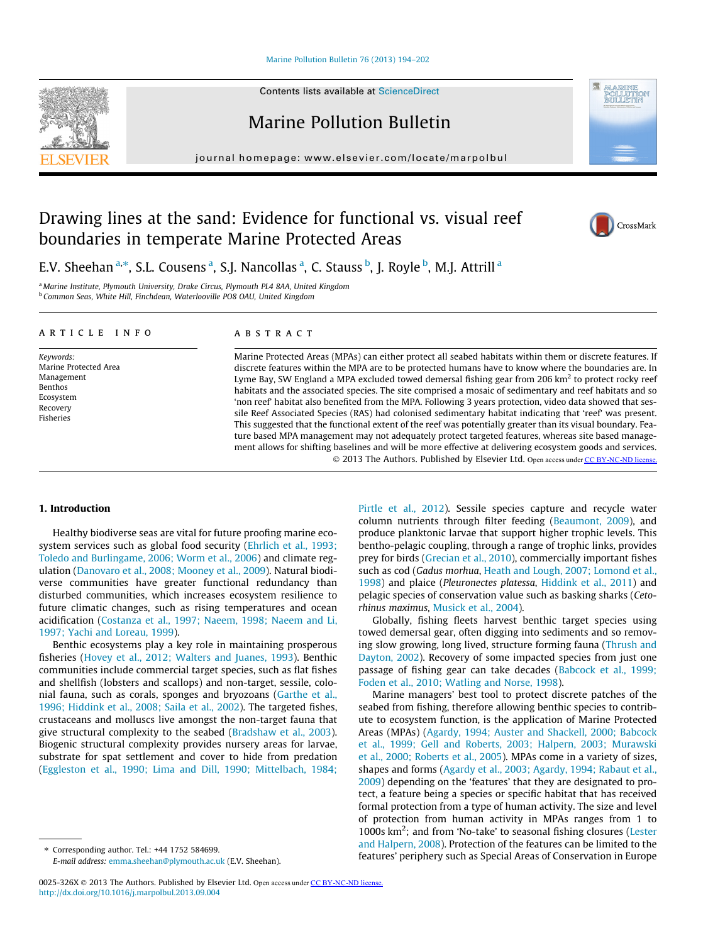# [Marine Pollution Bulletin 76 \(2013\) 194–202](http://dx.doi.org/10.1016/j.marpolbul.2013.09.004)

Contents lists available at [ScienceDirect](http://www.sciencedirect.com/science/journal/0025326X)

Marine Pollution Bulletin

journal homepage: [www.elsevier.com/locate/marpolbul](http://www.elsevier.com/locate/marpolbul)

# Drawing lines at the sand: Evidence for functional vs. visual reef boundaries in temperate Marine Protected Areas

E.V. Sheehan <sup>a,</sup>\*, S.L. Cousens <sup>a</sup>, S.J. Nancollas <sup>a</sup>, C. Stauss <sup>b</sup>, J. Royle <sup>b</sup>, M.J. Attrill <sup>a</sup>

<sup>a</sup> Marine Institute, Plymouth University, Drake Circus, Plymouth PL4 8AA, United Kingdom <sup>b</sup> Common Seas, White Hill, Finchdean, Waterlooville PO8 OAU, United Kingdom

## article info

Keywords: Marine Protected Area Management Benthos Ecosystem Recovery Fisheries

# ABSTRACT

Marine Protected Areas (MPAs) can either protect all seabed habitats within them or discrete features. If discrete features within the MPA are to be protected humans have to know where the boundaries are. In Lyme Bay, SW England a MPA excluded towed demersal fishing gear from 206 km<sup>2</sup> to protect rocky reef habitats and the associated species. The site comprised a mosaic of sedimentary and reef habitats and so 'non reef' habitat also benefited from the MPA. Following 3 years protection, video data showed that sessile Reef Associated Species (RAS) had colonised sedimentary habitat indicating that 'reef' was present. This suggested that the functional extent of the reef was potentially greater than its visual boundary. Feature based MPA management may not adequately protect targeted features, whereas site based management allows for shifting baselines and will be more effective at delivering ecosystem goods and services. © 2013 The Authors. Published by Elsevier Ltd. Open access under [CC BY-NC-ND license.](http://creativecommons.org/licenses/by-nc-nd/3.0/)

# 1. Introduction

Healthy biodiverse seas are vital for future proofing marine ecosystem services such as global food security [\(Ehrlich et al., 1993;](#page-7-0) [Toledo and Burlingame, 2006; Worm et al., 2006](#page-7-0)) and climate regulation ([Danovaro et al., 2008; Mooney et al., 2009\)](#page-7-0). Natural biodiverse communities have greater functional redundancy than disturbed communities, which increases ecosystem resilience to future climatic changes, such as rising temperatures and ocean acidification [\(Costanza et al., 1997; Naeem, 1998; Naeem and Li,](#page-7-0) [1997; Yachi and Loreau, 1999](#page-7-0)).

Benthic ecosystems play a key role in maintaining prosperous fisheries ([Hovey et al., 2012; Walters and Juanes, 1993\)](#page-7-0). Benthic communities include commercial target species, such as flat fishes and shellfish (lobsters and scallops) and non-target, sessile, colonial fauna, such as corals, sponges and bryozoans [\(Garthe et al.,](#page-7-0) [1996; Hiddink et al., 2008; Saila et al., 2002\)](#page-7-0). The targeted fishes, crustaceans and molluscs live amongst the non-target fauna that give structural complexity to the seabed [\(Bradshaw et al., 2003\)](#page-7-0). Biogenic structural complexity provides nursery areas for larvae, substrate for spat settlement and cover to hide from predation ([Eggleston et al., 1990; Lima and Dill, 1990; Mittelbach, 1984;](#page-7-0)

⇑ Corresponding author. Tel.: +44 1752 584699. E-mail address: [emma.sheehan@plymouth.ac.uk](mailto:emma.sheehan@plymouth.ac.uk) (E.V. Sheehan).

0025-326X @ 2013 The Authors. Published by Elsevier Ltd. Open access under [CC BY-NC-ND license.](http://creativecommons.org/licenses/by-nc-nd/3.0/) <http://dx.doi.org/10.1016/j.marpolbul.2013.09.004>

[Pirtle et al., 2012](#page-7-0)). Sessile species capture and recycle water column nutrients through filter feeding ([Beaumont, 2009\)](#page-6-0), and produce planktonic larvae that support higher trophic levels. This bentho-pelagic coupling, through a range of trophic links, provides prey for birds [\(Grecian et al., 2010](#page-7-0)), commercially important fishes such as cod (Gadus morhua, [Heath and Lough, 2007; Lomond et al.,](#page-7-0) [1998\)](#page-7-0) and plaice (Pleuronectes platessa, [Hiddink et al., 2011](#page-7-0)) and pelagic species of conservation value such as basking sharks (Cetorhinus maximus, [Musick et al., 2004](#page-7-0)).

Globally, fishing fleets harvest benthic target species using towed demersal gear, often digging into sediments and so removing slow growing, long lived, structure forming fauna ([Thrush and](#page-8-0) [Dayton, 2002\)](#page-8-0). Recovery of some impacted species from just one passage of fishing gear can take decades [\(Babcock et al., 1999;](#page-6-0) [Foden et al., 2010; Watling and Norse, 1998\)](#page-6-0).

Marine managers' best tool to protect discrete patches of the seabed from fishing, therefore allowing benthic species to contribute to ecosystem function, is the application of Marine Protected Areas (MPAs) [\(Agardy, 1994; Auster and Shackell, 2000; Babcock](#page-6-0) [et al., 1999; Gell and Roberts, 2003; Halpern, 2003; Murawski](#page-6-0) [et al., 2000; Roberts et al., 2005\)](#page-6-0). MPAs come in a variety of sizes, shapes and forms [\(Agardy et al., 2003; Agardy, 1994; Rabaut et al.,](#page-6-0) [2009\)](#page-6-0) depending on the 'features' that they are designated to protect, a feature being a species or specific habitat that has received formal protection from a type of human activity. The size and level of protection from human activity in MPAs ranges from 1 to 1000s km<sup>2</sup>; and from 'No-take' to seasonal fishing closures [\(Lester](#page-7-0) [and Halpern, 2008\)](#page-7-0). Protection of the features can be limited to the features' periphery such as Special Areas of Conservation in Europe





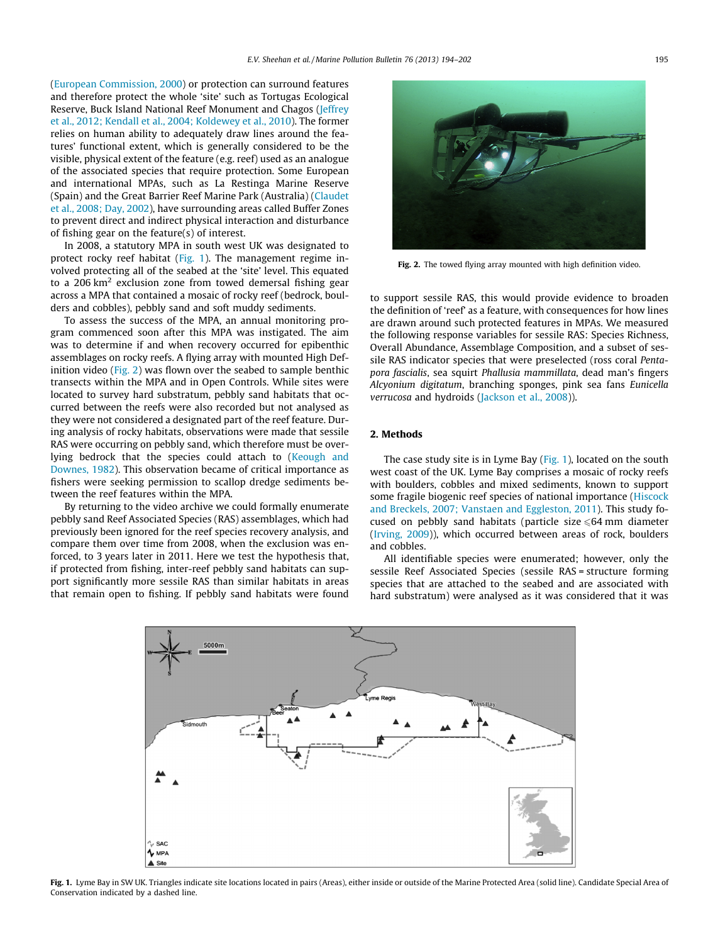([European Commission, 2000](#page-7-0)) or protection can surround features and therefore protect the whole 'site' such as Tortugas Ecological Reserve, Buck Island National Reef Monument and Chagos [\(Jeffrey](#page-7-0) [et al., 2012; Kendall et al., 2004; Koldewey et al., 2010\)](#page-7-0). The former relies on human ability to adequately draw lines around the features' functional extent, which is generally considered to be the visible, physical extent of the feature (e.g. reef) used as an analogue of the associated species that require protection. Some European and international MPAs, such as La Restinga Marine Reserve (Spain) and the Great Barrier Reef Marine Park (Australia) ([Claudet](#page-7-0) [et al., 2008; Day, 2002\)](#page-7-0), have surrounding areas called Buffer Zones to prevent direct and indirect physical interaction and disturbance of fishing gear on the feature(s) of interest.

In 2008, a statutory MPA in south west UK was designated to protect rocky reef habitat (Fig. 1). The management regime involved protecting all of the seabed at the 'site' level. This equated to a 206  $km^2$  exclusion zone from towed demersal fishing gear across a MPA that contained a mosaic of rocky reef (bedrock, boulders and cobbles), pebbly sand and soft muddy sediments.

To assess the success of the MPA, an annual monitoring program commenced soon after this MPA was instigated. The aim was to determine if and when recovery occurred for epibenthic assemblages on rocky reefs. A flying array with mounted High Definition video (Fig. 2) was flown over the seabed to sample benthic transects within the MPA and in Open Controls. While sites were located to survey hard substratum, pebbly sand habitats that occurred between the reefs were also recorded but not analysed as they were not considered a designated part of the reef feature. During analysis of rocky habitats, observations were made that sessile RAS were occurring on pebbly sand, which therefore must be overlying bedrock that the species could attach to ([Keough and](#page-7-0) [Downes, 1982](#page-7-0)). This observation became of critical importance as fishers were seeking permission to scallop dredge sediments between the reef features within the MPA.

By returning to the video archive we could formally enumerate pebbly sand Reef Associated Species (RAS) assemblages, which had previously been ignored for the reef species recovery analysis, and compare them over time from 2008, when the exclusion was enforced, to 3 years later in 2011. Here we test the hypothesis that, if protected from fishing, inter-reef pebbly sand habitats can support significantly more sessile RAS than similar habitats in areas that remain open to fishing. If pebbly sand habitats were found



Fig. 2. The towed flying array mounted with high definition video.

to support sessile RAS, this would provide evidence to broaden the definition of 'reef' as a feature, with consequences for how lines are drawn around such protected features in MPAs. We measured the following response variables for sessile RAS: Species Richness, Overall Abundance, Assemblage Composition, and a subset of sessile RAS indicator species that were preselected (ross coral Pentapora fascialis, sea squirt Phallusia mammillata, dead man's fingers Alcyonium digitatum, branching sponges, pink sea fans Eunicella verrucosa and hydroids ([Jackson et al., 2008\)](#page-7-0)).

# 2. Methods

The case study site is in Lyme Bay (Fig. 1), located on the south west coast of the UK. Lyme Bay comprises a mosaic of rocky reefs with boulders, cobbles and mixed sediments, known to support some fragile biogenic reef species of national importance [\(Hiscock](#page-7-0) [and Breckels, 2007; Vanstaen and Eggleston, 2011](#page-7-0)). This study focused on pebbly sand habitats (particle size  $\leq 64$  mm diameter ([Irving, 2009](#page-7-0))), which occurred between areas of rock, boulders and cobbles.

All identifiable species were enumerated; however, only the sessile Reef Associated Species (sessile RAS = structure forming species that are attached to the seabed and are associated with hard substratum) were analysed as it was considered that it was



Fig. 1. Lyme Bay in SW UK. Triangles indicate site locations located in pairs (Areas), either inside or outside of the Marine Protected Area (solid line). Candidate Special Area of Conservation indicated by a dashed line.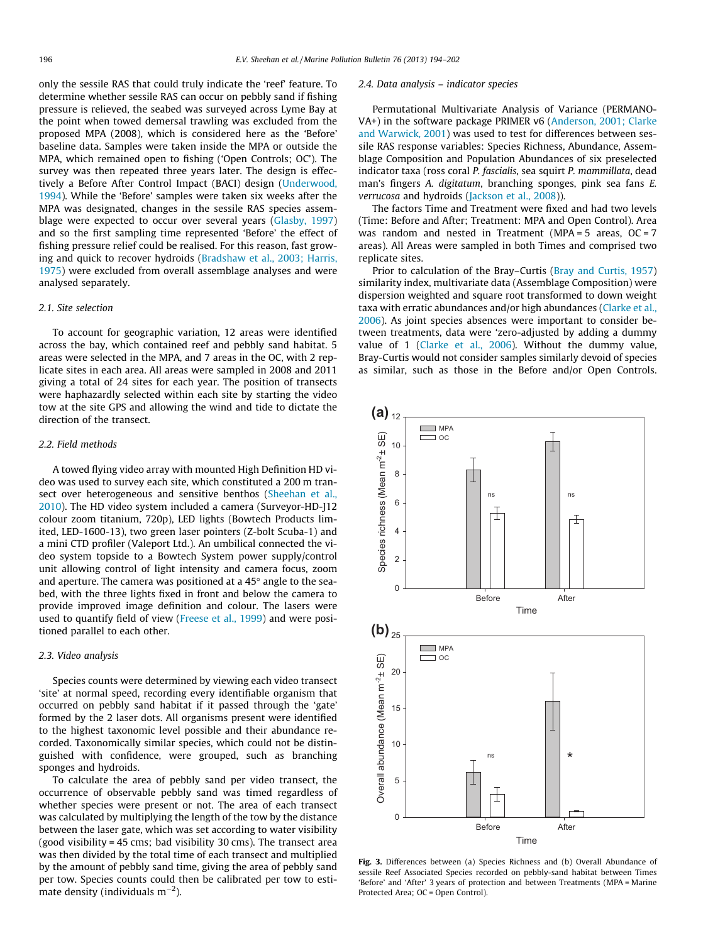<span id="page-2-0"></span>only the sessile RAS that could truly indicate the 'reef' feature. To determine whether sessile RAS can occur on pebbly sand if fishing pressure is relieved, the seabed was surveyed across Lyme Bay at the point when towed demersal trawling was excluded from the proposed MPA (2008), which is considered here as the 'Before' baseline data. Samples were taken inside the MPA or outside the MPA, which remained open to fishing ('Open Controls; OC'). The survey was then repeated three years later. The design is effectively a Before After Control Impact (BACI) design ([Underwood,](#page-8-0) [1994\)](#page-8-0). While the 'Before' samples were taken six weeks after the MPA was designated, changes in the sessile RAS species assemblage were expected to occur over several years ([Glasby, 1997\)](#page-7-0) and so the first sampling time represented 'Before' the effect of fishing pressure relief could be realised. For this reason, fast growing and quick to recover hydroids ([Bradshaw et al., 2003; Harris,](#page-7-0) [1975\)](#page-7-0) were excluded from overall assemblage analyses and were analysed separately.

#### 2.1. Site selection

To account for geographic variation, 12 areas were identified across the bay, which contained reef and pebbly sand habitat. 5 areas were selected in the MPA, and 7 areas in the OC, with 2 replicate sites in each area. All areas were sampled in 2008 and 2011 giving a total of 24 sites for each year. The position of transects were haphazardly selected within each site by starting the video tow at the site GPS and allowing the wind and tide to dictate the direction of the transect.

## 2.2. Field methods

A towed flying video array with mounted High Definition HD video was used to survey each site, which constituted a 200 m transect over heterogeneous and sensitive benthos ([Sheehan et al.,](#page-7-0) [2010\)](#page-7-0). The HD video system included a camera (Surveyor-HD-J12 colour zoom titanium, 720p), LED lights (Bowtech Products limited, LED-1600-13), two green laser pointers (Z-bolt Scuba-1) and a mini CTD profiler (Valeport Ltd.). An umbilical connected the video system topside to a Bowtech System power supply/control unit allowing control of light intensity and camera focus, zoom and aperture. The camera was positioned at a  $45^{\circ}$  angle to the seabed, with the three lights fixed in front and below the camera to provide improved image definition and colour. The lasers were used to quantify field of view ([Freese et al., 1999\)](#page-7-0) and were positioned parallel to each other.

# 2.3. Video analysis

Species counts were determined by viewing each video transect 'site' at normal speed, recording every identifiable organism that occurred on pebbly sand habitat if it passed through the 'gate' formed by the 2 laser dots. All organisms present were identified to the highest taxonomic level possible and their abundance recorded. Taxonomically similar species, which could not be distinguished with confidence, were grouped, such as branching sponges and hydroids.

To calculate the area of pebbly sand per video transect, the occurrence of observable pebbly sand was timed regardless of whether species were present or not. The area of each transect was calculated by multiplying the length of the tow by the distance between the laser gate, which was set according to water visibility (good visibility = 45 cms; bad visibility 30 cms). The transect area was then divided by the total time of each transect and multiplied by the amount of pebbly sand time, giving the area of pebbly sand per tow. Species counts could then be calibrated per tow to estimate density (individuals  $\mathrm{m}^{-2}$ ).

#### 2.4. Data analysis – indicator species

Permutational Multivariate Analysis of Variance (PERMANO-VA+) in the software package PRIMER v6 ([Anderson, 2001; Clarke](#page-6-0) [and Warwick, 2001\)](#page-6-0) was used to test for differences between sessile RAS response variables: Species Richness, Abundance, Assemblage Composition and Population Abundances of six preselected indicator taxa (ross coral P. fascialis, sea squirt P. mammillata, dead man's fingers A. digitatum, branching sponges, pink sea fans E. verrucosa and hydroids ([Jackson et al., 2008](#page-7-0))).

The factors Time and Treatment were fixed and had two levels (Time: Before and After; Treatment: MPA and Open Control). Area was random and nested in Treatment (MPA =  $5$  areas, OC =  $7$ areas). All Areas were sampled in both Times and comprised two replicate sites.

Prior to calculation of the Bray–Curtis [\(Bray and Curtis, 1957\)](#page-7-0) similarity index, multivariate data (Assemblage Composition) were dispersion weighted and square root transformed to down weight taxa with erratic abundances and/or high abundances [\(Clarke et al.,](#page-7-0) [2006\)](#page-7-0). As joint species absences were important to consider between treatments, data were 'zero-adjusted by adding a dummy value of 1 ([Clarke et al., 2006](#page-7-0)). Without the dummy value, Bray-Curtis would not consider samples similarly devoid of species as similar, such as those in the Before and/or Open Controls.



Fig. 3. Differences between (a) Species Richness and (b) Overall Abundance of sessile Reef Associated Species recorded on pebbly-sand habitat between Times 'Before' and 'After' 3 years of protection and between Treatments (MPA = Marine Protected Area; OC = Open Control).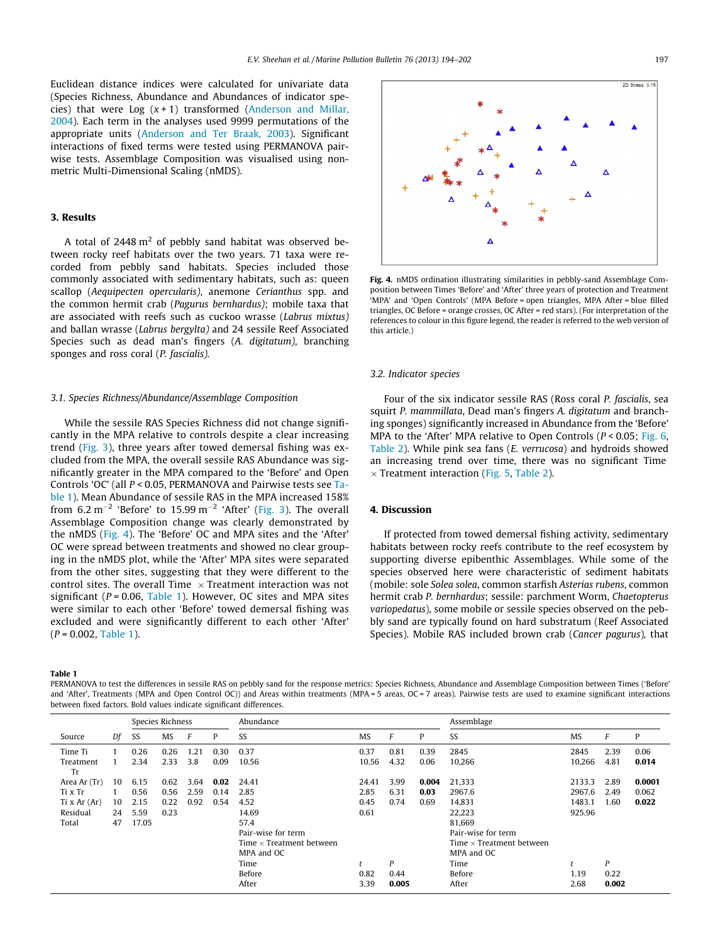<span id="page-3-0"></span>Euclidean distance indices were calculated for univariate data (Species Richness, Abundance and Abundances of indicator species) that were Log  $(x + 1)$  transformed [\(Anderson and Millar,](#page-6-0) [2004](#page-6-0)). Each term in the analyses used 9999 permutations of the appropriate units [\(Anderson and Ter Braak, 2003\)](#page-6-0). Significant interactions of fixed terms were tested using PERMANOVA pairwise tests. Assemblage Composition was visualised using nonmetric Multi-Dimensional Scaling (nMDS).

# 3. Results

A total of  $2448 \text{ m}^2$  of pebbly sand habitat was observed between rocky reef habitats over the two years. 71 taxa were recorded from pebbly sand habitats. Species included those commonly associated with sedimentary habitats, such as: queen scallop (Aequipecten opercularis), anemone Cerianthus spp. and the common hermit crab (Pagurus bernhardus); mobile taxa that are associated with reefs such as cuckoo wrasse (Labrus mixtus) and ballan wrasse (Labrus bergylta) and 24 sessile Reef Associated Species such as dead man's fingers (A. digitatum), branching sponges and ross coral (P. fascialis).

#### 3.1. Species Richness/Abundance/Assemblage Composition

While the sessile RAS Species Richness did not change significantly in the MPA relative to controls despite a clear increasing trend ([Fig. 3](#page-2-0)), three years after towed demersal fishing was excluded from the MPA, the overall sessile RAS Abundance was significantly greater in the MPA compared to the 'Before' and Open Controls 'OC' (all P < 0.05, PERMANOVA and Pairwise tests see Table 1). Mean Abundance of sessile RAS in the MPA increased 158% from  $6.2 \text{ m}^{-2}$  'Before' to  $15.99 \text{ m}^{-2}$  'After' [\(Fig. 3\)](#page-2-0). The overall Assemblage Composition change was clearly demonstrated by the nMDS (Fig. 4). The 'Before' OC and MPA sites and the 'After' OC were spread between treatments and showed no clear grouping in the nMDS plot, while the 'After' MPA sites were separated from the other sites, suggesting that they were different to the control sites. The overall Time  $\times$  Treatment interaction was not significant ( $P = 0.06$ , Table 1). However, OC sites and MPA sites were similar to each other 'Before' towed demersal fishing was excluded and were significantly different to each other 'After'  $(P = 0.002,$  Table 1).

Table 1

PERMANOVA to test the differences in sessile RAS on pebbly sand for the response metrics: Species Richness, Abundance and Assemblage Composition between Times ('Before' and 'After', Treatments (MPA and Open Control OC)) and Areas within treatments (MPA = 5 areas, OC = 7 areas). Pairwise tests are used to examine significant interactions between fixed factors. Bold values indicate significant differences.

|                 |    | Species Richness |           |      |      | Abundance                       |           | Assemblage |       |                                 |           |       |        |  |
|-----------------|----|------------------|-----------|------|------|---------------------------------|-----------|------------|-------|---------------------------------|-----------|-------|--------|--|
| Source          | Df | SS               | <b>MS</b> |      | P    | SS                              | <b>MS</b> | P          |       | SS                              | <b>MS</b> | F     | P      |  |
| Time Ti         |    | 0.26             | 0.26      | 1.21 | 0.30 | 0.37                            | 0.37      | 0.81       | 0.39  | 2845                            | 2845      | 2.39  | 0.06   |  |
| Treatment<br>Tr |    | 2.34             | 2.33      | 3.8  | 0.09 | 10.56                           | 10.56     | 4.32       | 0.06  | 10,266                          | 10,266    | 4.81  | 0.014  |  |
| Area Ar (Tr)    | 10 | 6.15             | 0.62      | 3.64 | 0.02 | 24.41                           | 24.41     | 3.99       | 0.004 | 21,333                          | 2133.3    | 2.89  | 0.0001 |  |
| Ti x Tr         |    | 0.56             | 0.56      | 2.59 | 0.14 | 2.85                            | 2.85      | 6.31       | 0.03  | 2967.6                          | 2967.6    | 2.49  | 0.062  |  |
| Ti x $Ar(Ar)$   | 10 | 2.15             | 0.22      | 0.92 | 0.54 | 4.52                            | 0.45      | 0.74       | 0.69  | 14,831                          | 1483.1    | 1.60  | 0.022  |  |
| Residual        | 24 | 5.59             | 0.23      |      |      | 14.69                           | 0.61      |            |       | 22,223                          | 925.96    |       |        |  |
| Total           | 47 | 17.05            |           |      |      | 57.4                            |           |            |       | 81,669                          |           |       |        |  |
|                 |    |                  |           |      |      | Pair-wise for term              |           |            |       | Pair-wise for term              |           |       |        |  |
|                 |    |                  |           |      |      | Time $\times$ Treatment between |           |            |       | Time $\times$ Treatment between |           |       |        |  |
|                 |    |                  |           |      |      | MPA and OC                      |           |            |       | MPA and OC                      |           |       |        |  |
|                 |    |                  |           |      |      | Time                            |           | P          |       | Time                            |           | P     |        |  |
|                 |    |                  |           |      |      | Before                          | 0.82      | 0.44       |       | Before                          | 1.19      | 0.22  |        |  |
|                 |    |                  |           |      |      | After                           | 3.39      | 0.005      |       | After                           | 2.68      | 0.002 |        |  |
|                 |    |                  |           |      |      |                                 |           |            |       |                                 |           |       |        |  |



Fig. 4. nMDS ordination illustrating similarities in pebbly-sand Assemblage Composition between Times 'Before' and 'After' three years of protection and Treatment 'MPA' and 'Open Controls' (MPA Before = open triangles, MPA After = blue filled triangles, OC Before = orange crosses, OC After = red stars). (For interpretation of the references to colour in this figure legend, the reader is referred to the web version of this article.)

#### 3.2. Indicator species

Four of the six indicator sessile RAS (Ross coral P. fascialis, sea squirt P. mammillata, Dead man's fingers A. digitatum and branching sponges) significantly increased in Abundance from the 'Before' MPA to the 'After' MPA relative to Open Controls ( $P < 0.05$ ; [Fig. 6,](#page-5-0) [Table 2\)](#page-6-0). While pink sea fans (E. verrucosa) and hydroids showed an increasing trend over time, there was no significant Time  $\times$  Treatment interaction ([Fig. 5](#page-4-0), [Table 2](#page-6-0)).

# 4. Discussion

If protected from towed demersal fishing activity, sedimentary habitats between rocky reefs contribute to the reef ecosystem by supporting diverse epibenthic Assemblages. While some of the species observed here were characteristic of sediment habitats (mobile: sole Solea solea, common starfish Asterias rubens, common hermit crab P. bernhardus; sessile: parchment Worm, Chaetopterus variopedatus), some mobile or sessile species observed on the pebbly sand are typically found on hard substratum (Reef Associated Species). Mobile RAS included brown crab (Cancer pagurus), that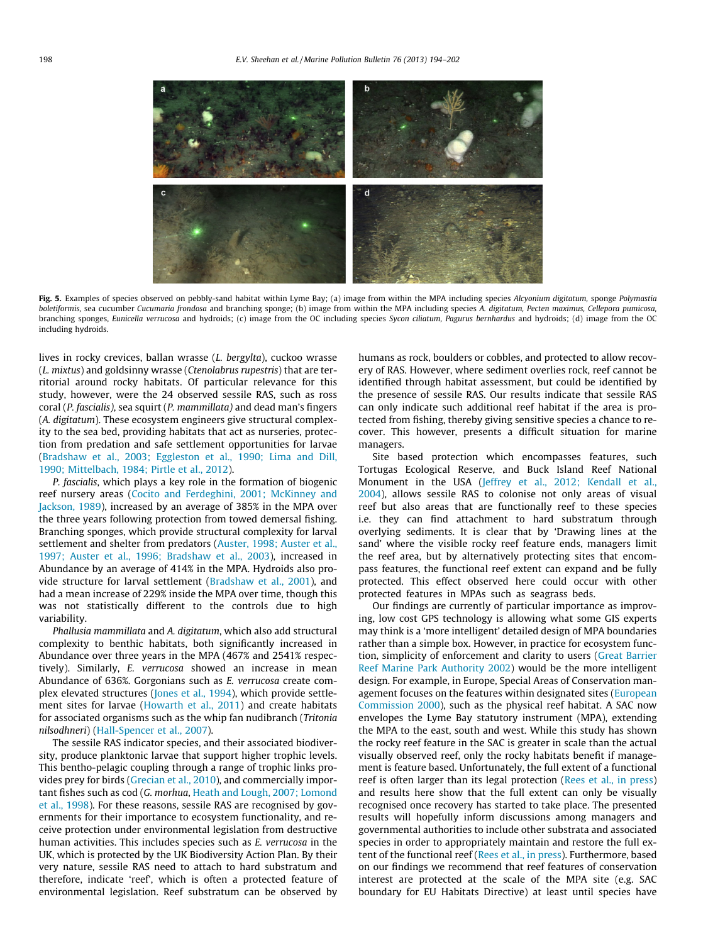<span id="page-4-0"></span>

Fig. 5. Examples of species observed on pebbly-sand habitat within Lyme Bay; (a) image from within the MPA including species Alcyonium digitatum, sponge Polymastia boletiformis, sea cucumber Cucumaria frondosa and branching sponge; (b) image from within the MPA including species A. digitatum, Pecten maximus, Cellepora pumicosa, branching sponges, Eunicella verrucosa and hydroids; (c) image from the OC including species Sycon ciliatum, Pagurus bernhardus and hydroids; (d) image from the OC including hydroids.

lives in rocky crevices, ballan wrasse (L. bergylta), cuckoo wrasse (L. mixtus) and goldsinny wrasse (Ctenolabrus rupestris) that are territorial around rocky habitats. Of particular relevance for this study, however, were the 24 observed sessile RAS, such as ross coral (P. fascialis), sea squirt (P. mammillata) and dead man's fingers (A. digitatum). These ecosystem engineers give structural complexity to the sea bed, providing habitats that act as nurseries, protection from predation and safe settlement opportunities for larvae ([Bradshaw et al., 2003; Eggleston et al., 1990; Lima and Dill,](#page-7-0) [1990; Mittelbach, 1984; Pirtle et al., 2012](#page-7-0)).

P. fascialis, which plays a key role in the formation of biogenic reef nursery areas ([Cocito and Ferdeghini, 2001; McKinney and](#page-7-0) [Jackson, 1989](#page-7-0)), increased by an average of 385% in the MPA over the three years following protection from towed demersal fishing. Branching sponges, which provide structural complexity for larval settlement and shelter from predators [\(Auster, 1998; Auster et al.,](#page-6-0) [1997; Auster et al., 1996; Bradshaw et al., 2003](#page-6-0)), increased in Abundance by an average of 414% in the MPA. Hydroids also provide structure for larval settlement ([Bradshaw et al., 2001](#page-6-0)), and had a mean increase of 229% inside the MPA over time, though this was not statistically different to the controls due to high variability.

Phallusia mammillata and A. digitatum, which also add structural complexity to benthic habitats, both significantly increased in Abundance over three years in the MPA (467% and 2541% respectively). Similarly, E. verrucosa showed an increase in mean Abundance of 636%. Gorgonians such as E. verrucosa create complex elevated structures ([Jones et al., 1994\)](#page-7-0), which provide settlement sites for larvae [\(Howarth et al., 2011](#page-7-0)) and create habitats for associated organisms such as the whip fan nudibranch (Tritonia nilsodhneri) [\(Hall-Spencer et al., 2007\)](#page-7-0).

The sessile RAS indicator species, and their associated biodiversity, produce planktonic larvae that support higher trophic levels. This bentho-pelagic coupling through a range of trophic links provides prey for birds ([Grecian et al., 2010\)](#page-7-0), and commercially important fishes such as cod (G. morhua, [Heath and Lough, 2007; Lomond](#page-7-0) [et al., 1998\)](#page-7-0). For these reasons, sessile RAS are recognised by governments for their importance to ecosystem functionality, and receive protection under environmental legislation from destructive human activities. This includes species such as E. verrucosa in the UK, which is protected by the UK Biodiversity Action Plan. By their very nature, sessile RAS need to attach to hard substratum and therefore, indicate 'reef', which is often a protected feature of environmental legislation. Reef substratum can be observed by

humans as rock, boulders or cobbles, and protected to allow recovery of RAS. However, where sediment overlies rock, reef cannot be identified through habitat assessment, but could be identified by the presence of sessile RAS. Our results indicate that sessile RAS can only indicate such additional reef habitat if the area is protected from fishing, thereby giving sensitive species a chance to recover. This however, presents a difficult situation for marine managers.

Site based protection which encompasses features, such Tortugas Ecological Reserve, and Buck Island Reef National Monument in the USA [\(Jeffrey et al., 2012; Kendall et al.,](#page-7-0) [2004\)](#page-7-0), allows sessile RAS to colonise not only areas of visual reef but also areas that are functionally reef to these species i.e. they can find attachment to hard substratum through overlying sediments. It is clear that by 'Drawing lines at the sand' where the visible rocky reef feature ends, managers limit the reef area, but by alternatively protecting sites that encompass features, the functional reef extent can expand and be fully protected. This effect observed here could occur with other protected features in MPAs such as seagrass beds.

Our findings are currently of particular importance as improving, low cost GPS technology is allowing what some GIS experts may think is a 'more intelligent' detailed design of MPA boundaries rather than a simple box. However, in practice for ecosystem function, simplicity of enforcement and clarity to users [\(Great Barrier](#page-7-0) [Reef Marine Park Authority 2002\)](#page-7-0) would be the more intelligent design. For example, in Europe, Special Areas of Conservation man-agement focuses on the features within designated sites [\(European](#page-7-0) [Commission 2000](#page-7-0)), such as the physical reef habitat. A SAC now envelopes the Lyme Bay statutory instrument (MPA), extending the MPA to the east, south and west. While this study has shown the rocky reef feature in the SAC is greater in scale than the actual visually observed reef, only the rocky habitats benefit if management is feature based. Unfortunately, the full extent of a functional reef is often larger than its legal protection [\(Rees et al., in press\)](#page-7-0) and results here show that the full extent can only be visually recognised once recovery has started to take place. The presented results will hopefully inform discussions among managers and governmental authorities to include other substrata and associated species in order to appropriately maintain and restore the full extent of the functional reef [\(Rees et al., in press](#page-7-0)). Furthermore, based on our findings we recommend that reef features of conservation interest are protected at the scale of the MPA site (e.g. SAC boundary for EU Habitats Directive) at least until species have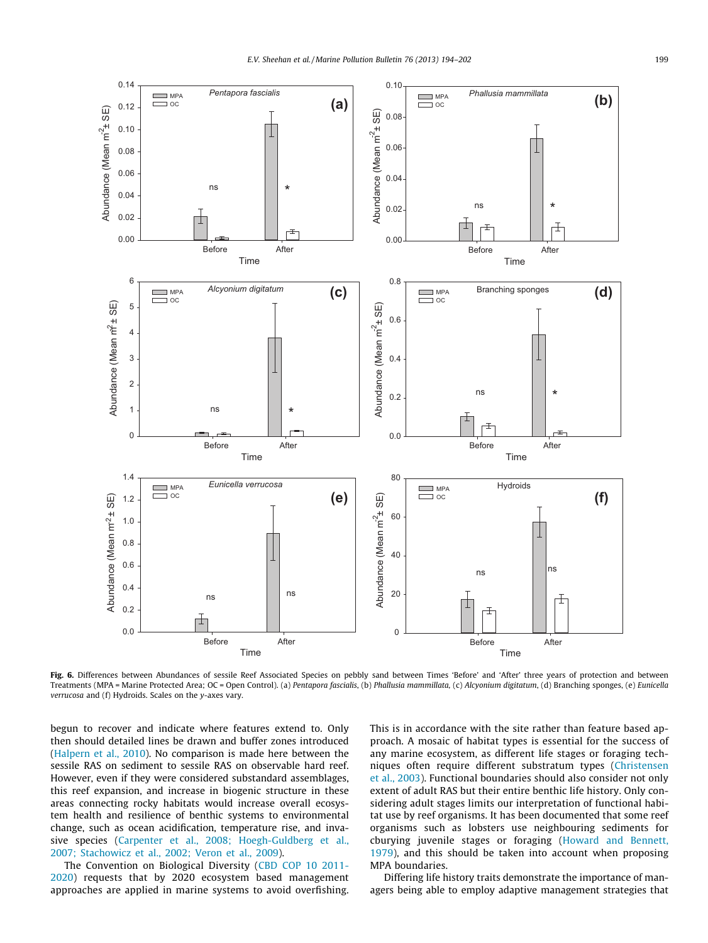<span id="page-5-0"></span>

Fig. 6. Differences between Abundances of sessile Reef Associated Species on pebbly sand between Times 'Before' and 'After' three years of protection and between Treatments (MPA = Marine Protected Area; OC = Open Control). (a) Pentapora fascialis, (b) Phallusia mammillata, (c) Alcyonium digitatum, (d) Branching sponges, (e) Eunicella verrucosa and (f) Hydroids. Scales on the y-axes vary.

begun to recover and indicate where features extend to. Only then should detailed lines be drawn and buffer zones introduced ([Halpern et al., 2010](#page-7-0)). No comparison is made here between the sessile RAS on sediment to sessile RAS on observable hard reef. However, even if they were considered substandard assemblages, this reef expansion, and increase in biogenic structure in these areas connecting rocky habitats would increase overall ecosystem health and resilience of benthic systems to environmental change, such as ocean acidification, temperature rise, and invasive species ([Carpenter et al., 2008; Hoegh-Guldberg et al.,](#page-7-0) [2007; Stachowicz et al., 2002; Veron et al., 2009](#page-7-0)).

The Convention on Biological Diversity ([CBD COP 10 2011-](#page-7-0) [2020\)](#page-7-0) requests that by 2020 ecosystem based management approaches are applied in marine systems to avoid overfishing. This is in accordance with the site rather than feature based approach. A mosaic of habitat types is essential for the success of any marine ecosystem, as different life stages or foraging techniques often require different substratum types [\(Christensen](#page-7-0) [et al., 2003\)](#page-7-0). Functional boundaries should also consider not only extent of adult RAS but their entire benthic life history. Only considering adult stages limits our interpretation of functional habitat use by reef organisms. It has been documented that some reef organisms such as lobsters use neighbouring sediments for cburying juvenile stages or foraging ([Howard and Bennett,](#page-7-0) [1979\)](#page-7-0), and this should be taken into account when proposing MPA boundaries.

Differing life history traits demonstrate the importance of managers being able to employ adaptive management strategies that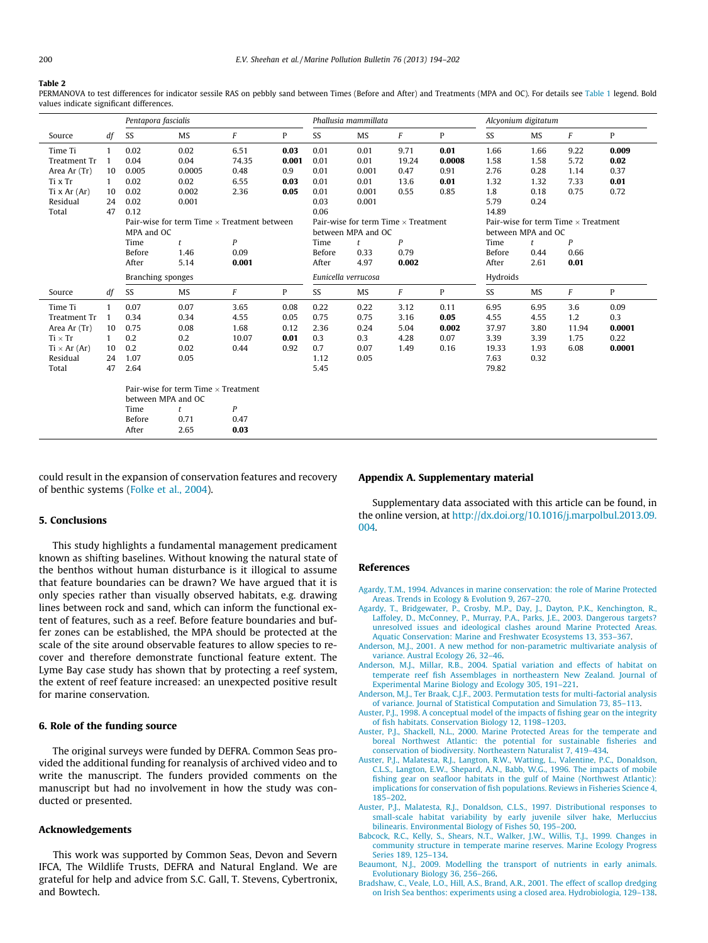#### <span id="page-6-0"></span>Table 2

PERMANOVA to test differences for indicator sessile RAS on pebbly sand between Times (Before and After) and Treatments (MPA and OC). For details see [Table 1](#page-3-0) legend. Bold values indicate significant differences.

|                     |                                          | Pentapora fascialis                                | Phallusia mammillata |                                            |              |                     | Alcyonium digitatum                        |                |        |          |           |                  |        |  |
|---------------------|------------------------------------------|----------------------------------------------------|----------------------|--------------------------------------------|--------------|---------------------|--------------------------------------------|----------------|--------|----------|-----------|------------------|--------|--|
| Source              | df                                       | SS                                                 | MS                   | F                                          | P            | SS                  | MS                                         | F              | P      | SS       | MS        | F                | P      |  |
| Time Ti             | $\mathbf{1}$                             | 0.02                                               | 0.02                 | 6.51                                       | 0.03         | 0.01                | 0.01                                       | 9.71           | 0.01   | 1.66     | 1.66      | 9.22             | 0.009  |  |
| Treatment Tr        | $\overline{1}$                           | 0.04                                               | 0.04                 | 74.35                                      | 0.001        | 0.01                | 0.01                                       | 19.24          | 0.0008 | 1.58     | 1.58      | 5.72             | 0.02   |  |
| Area Ar (Tr)        | 10                                       | 0.005                                              | 0.0005               | 0.48                                       | 0.9          | 0.01                | 0.001                                      | 0.47           | 0.91   | 2.76     | 0.28      | 1.14             | 0.37   |  |
| Ti x Tr             | 1                                        | 0.02                                               | 0.02                 | 6.55                                       | 0.03         | 0.01                | 0.01                                       | 13.6           | 0.01   | 1.32     | 1.32      | 7.33             | 0.01   |  |
| Ti x $Ar(Ar)$       | 10                                       | 0.02                                               | 0.002                | 2.36                                       | 0.05         | 0.01                | 0.001                                      | 0.55           | 0.85   | 1.8      | 0.18      | 0.75             | 0.72   |  |
| Residual            | 24                                       | 0.02                                               | 0.001                |                                            |              | 0.03                | 0.001                                      |                |        | 5.79     | 0.24      |                  |        |  |
| Total               | 47                                       | 0.12                                               |                      |                                            |              | 0.06                |                                            |                |        | 14.89    |           |                  |        |  |
|                     |                                          | Pair-wise for term Time $\times$ Treatment between |                      | Pair-wise for term Time $\times$ Treatment |              |                     | Pair-wise for term Time $\times$ Treatment |                |        |          |           |                  |        |  |
|                     |                                          | MPA and OC                                         |                      | between MPA and OC                         |              |                     | between MPA and OC                         |                |        |          |           |                  |        |  |
|                     |                                          | Time                                               | t                    | $\boldsymbol{P}$                           |              | Time                | t                                          | P              |        | Time     | t         | $\boldsymbol{P}$ |        |  |
|                     |                                          | Before                                             | 1.46                 | 0.09                                       |              | Before              | 0.33                                       | 0.79           |        | Before   | 0.44      | 0.66             |        |  |
|                     |                                          | After                                              | 5.14                 | 0.001                                      |              | After               | 4.97                                       | 0.002          |        | After    | 2.61      | 0.01             |        |  |
|                     |                                          | Branching sponges                                  |                      |                                            |              | Eunicella verrucosa |                                            |                |        | Hydroids |           |                  |        |  |
| Source              | df                                       | SS                                                 | MS                   | $\sqrt{F}$                                 | $\mathbf{P}$ | SS                  | <b>MS</b>                                  | $\overline{F}$ | P      | SS       | <b>MS</b> | F                | P      |  |
| Time Ti             | $\mathbf{1}$                             | 0.07                                               | 0.07                 | 3.65                                       | 0.08         | 0.22                | 0.22                                       | 3.12           | 0.11   | 6.95     | 6.95      | 3.6              | 0.09   |  |
| <b>Treatment Tr</b> | $\mathbf{1}$                             | 0.34                                               | 0.34                 | 4.55                                       | 0.05         | 0.75                | 0.75                                       | 3.16           | 0.05   | 4.55     | 4.55      | 1.2              | 0.3    |  |
| Area Ar (Tr)        | 10                                       | 0.75                                               | 0.08                 | 1.68                                       | 0.12         | 2.36                | 0.24                                       | 5.04           | 0.002  | 37.97    | 3.80      | 11.94            | 0.0001 |  |
| $Ti \times Tr$      | 1                                        | 0.2                                                | 0.2                  | 10.07                                      | 0.01         | 0.3                 | 0.3                                        | 4.28           | 0.07   | 3.39     | 3.39      | 1.75             | 0.22   |  |
| $Ti \times Ar (Ar)$ | 10                                       | 0.2                                                | 0.02                 | 0.44                                       | 0.92         | 0.7                 | 0.07                                       | 1.49           | 0.16   | 19.33    | 1.93      | 6.08             | 0.0001 |  |
| Residual            | 24                                       | 1.07                                               | 0.05                 |                                            |              | 1.12                | 0.05                                       |                |        | 7.63     | 0.32      |                  |        |  |
| Total               | 47                                       | 2.64                                               |                      |                                            |              | 5.45                |                                            |                |        | 79.82    |           |                  |        |  |
|                     |                                          | Pair-wise for term Time $\times$ Treatment         |                      |                                            |              |                     |                                            |                |        |          |           |                  |        |  |
|                     |                                          | between MPA and OC                                 |                      |                                            |              |                     |                                            |                |        |          |           |                  |        |  |
|                     | $\boldsymbol{P}$<br>Time<br>$\mathbf{r}$ |                                                    |                      |                                            |              |                     |                                            |                |        |          |           |                  |        |  |
|                     |                                          | Before                                             | 0.71                 | 0.47                                       |              |                     |                                            |                |        |          |           |                  |        |  |
|                     |                                          | After                                              | 2.65                 | 0.03                                       |              |                     |                                            |                |        |          |           |                  |        |  |

could result in the expansion of conservation features and recovery of benthic systems ([Folke et al., 2004](#page-7-0)).

#### 5. Conclusions

This study highlights a fundamental management predicament known as shifting baselines. Without knowing the natural state of the benthos without human disturbance is it illogical to assume that feature boundaries can be drawn? We have argued that it is only species rather than visually observed habitats, e.g. drawing lines between rock and sand, which can inform the functional extent of features, such as a reef. Before feature boundaries and buffer zones can be established, the MPA should be protected at the scale of the site around observable features to allow species to recover and therefore demonstrate functional feature extent. The Lyme Bay case study has shown that by protecting a reef system, the extent of reef feature increased: an unexpected positive result for marine conservation.

### 6. Role of the funding source

The original surveys were funded by DEFRA. Common Seas provided the additional funding for reanalysis of archived video and to write the manuscript. The funders provided comments on the manuscript but had no involvement in how the study was conducted or presented.

# Acknowledgements

This work was supported by Common Seas, Devon and Severn IFCA, The Wildlife Trusts, DEFRA and Natural England. We are grateful for help and advice from S.C. Gall, T. Stevens, Cybertronix, and Bowtech.

# Appendix A. Supplementary material

Supplementary data associated with this article can be found, in the online version, at [http://dx.doi.org/10.1016/j.marpolbul.2013.09.](http://dx.doi.org/10.1016/j.marpolbul.2013.09.004) [004.](http://dx.doi.org/10.1016/j.marpolbul.2013.09.004)

## References

- [Agardy, T.M., 1994. Advances in marine conservation: the role of Marine Protected](http://refhub.elsevier.com/S0025-326X(13)00540-7/h0010) [Areas. Trends in Ecology & Evolution 9, 267–270.](http://refhub.elsevier.com/S0025-326X(13)00540-7/h0010)
- [Agardy, T., Bridgewater, P., Crosby, M.P., Day, J., Dayton, P.K., Kenchington, R.,](http://refhub.elsevier.com/S0025-326X(13)00540-7/h0005) [Laffoley, D., McConney, P., Murray, P.A., Parks, J.E., 2003. Dangerous targets?](http://refhub.elsevier.com/S0025-326X(13)00540-7/h0005) [unresolved issues and ideological clashes around Marine Protected Areas.](http://refhub.elsevier.com/S0025-326X(13)00540-7/h0005) [Aquatic Conservation: Marine and Freshwater Ecosystems 13, 353–367.](http://refhub.elsevier.com/S0025-326X(13)00540-7/h0005)
- [Anderson, M.J., 2001. A new method for non-parametric multivariate analysis of](http://refhub.elsevier.com/S0025-326X(13)00540-7/h0015) [variance. Austral Ecology 26, 32–46](http://refhub.elsevier.com/S0025-326X(13)00540-7/h0015).
- [Anderson, M.J., Millar, R.B., 2004. Spatial variation and effects of habitat on](http://refhub.elsevier.com/S0025-326X(13)00540-7/h0020) [temperate reef fish Assemblages in northeastern New Zealand. Journal of](http://refhub.elsevier.com/S0025-326X(13)00540-7/h0020) [Experimental Marine Biology and Ecology 305, 191–221](http://refhub.elsevier.com/S0025-326X(13)00540-7/h0020).
- [Anderson, M.J., Ter Braak, C.J.F., 2003. Permutation tests for multi-factorial analysis](http://refhub.elsevier.com/S0025-326X(13)00540-7/h0025) [of variance. Journal of Statistical Computation and Simulation 73, 85–113](http://refhub.elsevier.com/S0025-326X(13)00540-7/h0025).
- [Auster, P.J., 1998. A conceptual model of the impacts of fishing gear on the integrity](http://refhub.elsevier.com/S0025-326X(13)00540-7/h0030) [of fish habitats. Conservation Biology 12, 1198–1203.](http://refhub.elsevier.com/S0025-326X(13)00540-7/h0030)
- [Auster, P.J., Shackell, N.L., 2000. Marine Protected Areas for the temperate and](http://refhub.elsevier.com/S0025-326X(13)00540-7/h0045) [boreal Northwest Atlantic: the potential for sustainable fisheries and](http://refhub.elsevier.com/S0025-326X(13)00540-7/h0045) [conservation of biodiversity. Northeastern Naturalist 7, 419–434](http://refhub.elsevier.com/S0025-326X(13)00540-7/h0045).
- [Auster, P.J., Malatesta, R.J., Langton, R.W., Watting, L., Valentine, P.C., Donaldson,](http://refhub.elsevier.com/S0025-326X(13)00540-7/h0040) [C.L.S., Langton, E.W., Shepard, A.N., Babb, W.G., 1996. The impacts of mobile](http://refhub.elsevier.com/S0025-326X(13)00540-7/h0040) [fishing gear on seafloor habitats in the gulf of Maine \(Northwest Atlantic\):](http://refhub.elsevier.com/S0025-326X(13)00540-7/h0040) [implications for conservation of fish populations. Reviews in Fisheries Science 4,](http://refhub.elsevier.com/S0025-326X(13)00540-7/h0040) [185–202](http://refhub.elsevier.com/S0025-326X(13)00540-7/h0040).
- [Auster, P.J., Malatesta, R.J., Donaldson, C.L.S., 1997. Distributional responses to](http://refhub.elsevier.com/S0025-326X(13)00540-7/h0035) [small-scale habitat variability by early juvenile silver hake, Merluccius](http://refhub.elsevier.com/S0025-326X(13)00540-7/h0035) [bilinearis. Environmental Biology of Fishes 50, 195–200](http://refhub.elsevier.com/S0025-326X(13)00540-7/h0035).
- [Babcock, R.C., Kelly, S., Shears, N.T., Walker, J.W., Willis, T.J., 1999. Changes in](http://refhub.elsevier.com/S0025-326X(13)00540-7/h0050) [community structure in temperate marine reserves. Marine Ecology Progress](http://refhub.elsevier.com/S0025-326X(13)00540-7/h0050) [Series 189, 125–134](http://refhub.elsevier.com/S0025-326X(13)00540-7/h0050).
- [Beaumont, N.J., 2009. Modelling the transport of nutrients in early animals.](http://refhub.elsevier.com/S0025-326X(13)00540-7/h0055) [Evolutionary Biology 36, 256–266.](http://refhub.elsevier.com/S0025-326X(13)00540-7/h0055)
- [Bradshaw, C., Veale, L.O., Hill, A.S., Brand, A.R., 2001. The effect of scallop dredging](http://refhub.elsevier.com/S0025-326X(13)00540-7/h0065) [on Irish Sea benthos: experiments using a closed area. Hydrobiologia, 129–138](http://refhub.elsevier.com/S0025-326X(13)00540-7/h0065).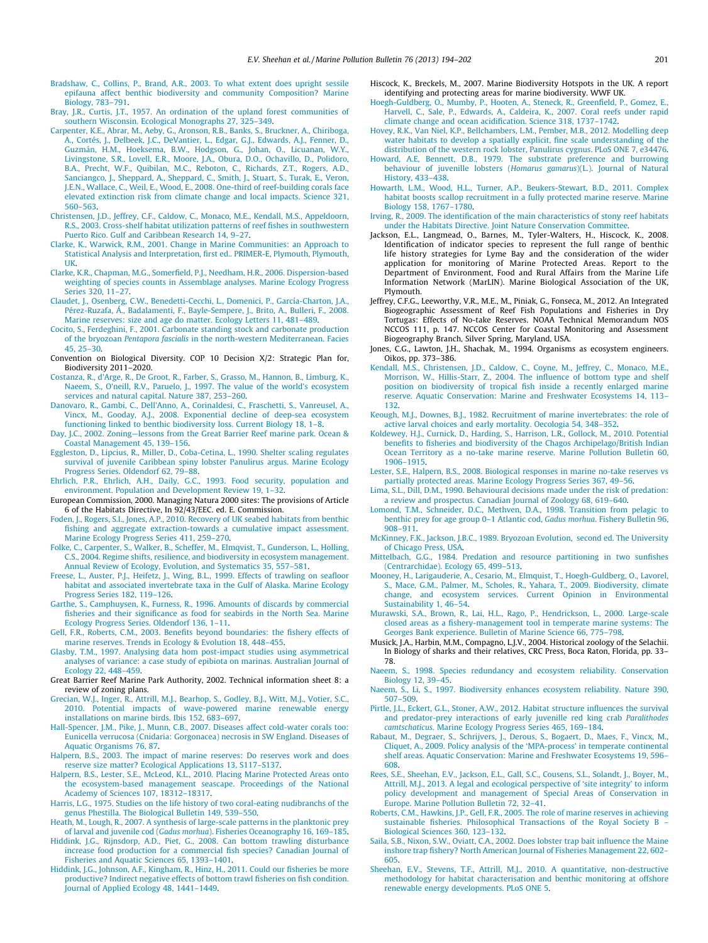- <span id="page-7-0"></span>[Bradshaw, C., Collins, P., Brand, A.R., 2003. To what extent does upright sessile](http://refhub.elsevier.com/S0025-326X(13)00540-7/h0060) [epifauna affect benthic biodiversity and community Composition? Marine](http://refhub.elsevier.com/S0025-326X(13)00540-7/h0060) [Biology, 783–791](http://refhub.elsevier.com/S0025-326X(13)00540-7/h0060).
- [Bray, J.R., Curtis, J.T., 1957. An ordination of the upland forest communities of](http://refhub.elsevier.com/S0025-326X(13)00540-7/h0070) [southern Wisconsin. Ecological Monographs 27, 325–349.](http://refhub.elsevier.com/S0025-326X(13)00540-7/h0070)
- [Carpenter, K.E., Abrar, M., Aeby, G., Aronson, R.B., Banks, S., Bruckner, A., Chiriboga,](http://refhub.elsevier.com/S0025-326X(13)00540-7/h0075) [A., Cortés, J., Delbeek, J.C., DeVantier, L., Edgar, G.J., Edwards, A.J., Fenner, D.,](http://refhub.elsevier.com/S0025-326X(13)00540-7/h0075) [Guzmán, H.M., Hoeksema, B.W., Hodgson, G., Johan, O., Licuanan, W.Y.,](http://refhub.elsevier.com/S0025-326X(13)00540-7/h0075) [Livingstone, S.R., Lovell, E.R., Moore, J.A., Obura, D.O., Ochavillo, D., Polidoro,](http://refhub.elsevier.com/S0025-326X(13)00540-7/h0075) [B.A., Precht, W.F., Quibilan, M.C., Reboton, C., Richards, Z.T., Rogers, A.D.,](http://refhub.elsevier.com/S0025-326X(13)00540-7/h0075) [Sanciangco, J., Sheppard, A., Sheppard, C., Smith, J., Stuart, S., Turak, E., Veron,](http://refhub.elsevier.com/S0025-326X(13)00540-7/h0075) [J.E.N., Wallace, C., Weil, E., Wood, E., 2008. One-third of reef-building corals face](http://refhub.elsevier.com/S0025-326X(13)00540-7/h0075) [elevated extinction risk from climate change and local impacts. Science 321,](http://refhub.elsevier.com/S0025-326X(13)00540-7/h0075) [560–563](http://refhub.elsevier.com/S0025-326X(13)00540-7/h0075).
- [Christensen, J.D., Jeffrey, C.F., Caldow, C., Monaco, M.E., Kendall, M.S., Appeldoorn,](http://refhub.elsevier.com/S0025-326X(13)00540-7/h0080) [R.S., 2003. Cross-shelf habitat utilization patterns of reef fishes in southwestern](http://refhub.elsevier.com/S0025-326X(13)00540-7/h0080) [Puerto Rico. Gulf and Caribbean Research 14, 9–27](http://refhub.elsevier.com/S0025-326X(13)00540-7/h0080).
- [Clarke, K., Warwick, R.M., 2001. Change in Marine Communities: an Approach to](http://refhub.elsevier.com/S0025-326X(13)00540-7/h0085) [Statistical Analysis and Interpretation, first ed.. PRIMER-E, Plymouth, Plymouth,](http://refhub.elsevier.com/S0025-326X(13)00540-7/h0085) [UK](http://refhub.elsevier.com/S0025-326X(13)00540-7/h0085).
- [Clarke, K.R., Chapman, M.G., Somerfield, P.J., Needham, H.R., 2006. Dispersion-based](http://refhub.elsevier.com/S0025-326X(13)00540-7/h0090) [weighting of species counts in Assemblage analyses. Marine Ecology Progress](http://refhub.elsevier.com/S0025-326X(13)00540-7/h0090) [Series 320, 11–27.](http://refhub.elsevier.com/S0025-326X(13)00540-7/h0090)
- [Claudet, J., Osenberg, C.W., Benedetti-Cecchi, L., Domenici, P., García-Charton, J.A.,](http://refhub.elsevier.com/S0025-326X(13)00540-7/h0095) [Pérez-Ruzafa, Á., Badalamenti, F., Bayle-Sempere, J., Brito, A., Bulleri, F., 2008.](http://refhub.elsevier.com/S0025-326X(13)00540-7/h0095) [Marine reserves: size and age do matter. Ecology Letters 11, 481–489](http://refhub.elsevier.com/S0025-326X(13)00540-7/h0095).
- [Cocito, S., Ferdeghini, F., 2001. Carbonate standing stock and carbonate production](http://refhub.elsevier.com/S0025-326X(13)00540-7/h0100) of the bryozoan Pentapora fascialis [in the north-western Mediterranean. Facies](http://refhub.elsevier.com/S0025-326X(13)00540-7/h0100) [45, 25–30.](http://refhub.elsevier.com/S0025-326X(13)00540-7/h0100)
- Convention on Biological Diversity. COP 10 Decision X/2: Strategic Plan for, Biodiversity 2011–2020.
- [Costanza, R., d'Arge, R., De Groot, R., Farber, S., Grasso, M., Hannon, B., Limburg, K.,](http://refhub.elsevier.com/S0025-326X(13)00540-7/h0105) [Naeem, S., O'neill, R.V., Paruelo, J., 1997. The value of the world's ecosystem](http://refhub.elsevier.com/S0025-326X(13)00540-7/h0105) [services and natural capital. Nature 387, 253–260](http://refhub.elsevier.com/S0025-326X(13)00540-7/h0105).
- [Danovaro, R., Gambi, C., Dell'Anno, A., Corinaldesi, C., Fraschetti, S., Vanreusel, A.,](http://refhub.elsevier.com/S0025-326X(13)00540-7/h0110) [Vincx, M., Gooday, A.J., 2008. Exponential decline of deep-sea ecosystem](http://refhub.elsevier.com/S0025-326X(13)00540-7/h0110) [functioning linked to benthic biodiversity loss. Current Biology 18, 1–8](http://refhub.elsevier.com/S0025-326X(13)00540-7/h0110).
- [Day, J.C., 2002. Zoning—lessons from the Great Barrier Reef marine park. Ocean &](http://refhub.elsevier.com/S0025-326X(13)00540-7/h0115) [Coastal Management 45, 139–156](http://refhub.elsevier.com/S0025-326X(13)00540-7/h0115).
- [Eggleston, D., Lipcius, R., Miller, D., Coba-Cetina, L., 1990. Shelter scaling regulates](http://refhub.elsevier.com/S0025-326X(13)00540-7/h0120) [survival of juvenile Caribbean spiny lobster Panulirus argus. Marine Ecology](http://refhub.elsevier.com/S0025-326X(13)00540-7/h0120) [Progress Series. Oldendorf 62, 79–88](http://refhub.elsevier.com/S0025-326X(13)00540-7/h0120).
- [Ehrlich, P.R., Ehrlich, A.H., Daily, G.C., 1993. Food security, population and](http://refhub.elsevier.com/S0025-326X(13)00540-7/h0125) [environment. Population and Development Review 19, 1–32.](http://refhub.elsevier.com/S0025-326X(13)00540-7/h0125)
- European Commission, 2000. Managing Natura 2000 sites: The provisions of Article 6 of the Habitats Directive, In 92/43/EEC. ed. E. Commission.
- [Foden, J., Rogers, S.I., Jones, A.P., 2010. Recovery of UK seabed habitats from benthic](http://refhub.elsevier.com/S0025-326X(13)00540-7/h0130) [fishing and aggregate extraction-towards a cumulative impact assessment.](http://refhub.elsevier.com/S0025-326X(13)00540-7/h0130) [Marine Ecology Progress Series 411, 259–270.](http://refhub.elsevier.com/S0025-326X(13)00540-7/h0130)
- [Folke, C., Carpenter, S., Walker, B., Scheffer, M., Elmqvist, T., Gunderson, L., Holling,](http://refhub.elsevier.com/S0025-326X(13)00540-7/h0135) [C.S., 2004. Regime shifts, resilience, and biodiversity in ecosystem management.](http://refhub.elsevier.com/S0025-326X(13)00540-7/h0135) [Annual Review of Ecology, Evolution, and Systematics 35, 557–581.](http://refhub.elsevier.com/S0025-326X(13)00540-7/h0135)
- [Freese, L., Auster, P.J., Heifetz, J., Wing, B.L., 1999. Effects of trawling on seafloor](http://refhub.elsevier.com/S0025-326X(13)00540-7/h0140) [habitat and associated invertebrate taxa in the Gulf of Alaska. Marine Ecology](http://refhub.elsevier.com/S0025-326X(13)00540-7/h0140) [Progress Series 182, 119–126.](http://refhub.elsevier.com/S0025-326X(13)00540-7/h0140)
- [Garthe, S., Camphuysen, K., Furness, R., 1996. Amounts of discards by commercial](http://refhub.elsevier.com/S0025-326X(13)00540-7/h0145) [fisheries and their significance as food for seabirds in the North Sea. Marine](http://refhub.elsevier.com/S0025-326X(13)00540-7/h0145) [Ecology Progress Series. Oldendorf 136, 1–11.](http://refhub.elsevier.com/S0025-326X(13)00540-7/h0145)
- [Gell, F.R., Roberts, C.M., 2003. Benefits beyond boundaries: the fishery effects of](http://refhub.elsevier.com/S0025-326X(13)00540-7/h0150) [marine reserves. Trends in Ecology & Evolution 18, 448–455.](http://refhub.elsevier.com/S0025-326X(13)00540-7/h0150)
- [Glasby, T.M., 1997. Analysing data hom post-impact studies using asymmetrical](http://refhub.elsevier.com/S0025-326X(13)00540-7/h0155) [analyses of variance: a case study of epibiota on marinas. Australian Journal of](http://refhub.elsevier.com/S0025-326X(13)00540-7/h0155) [Ecology 22, 448–459.](http://refhub.elsevier.com/S0025-326X(13)00540-7/h0155)
- Great Barrier Reef Marine Park Authority, 2002. Technical information sheet 8: a review of zoning plans.
- [Grecian, W.J., Inger, R., Attrill, M.J., Bearhop, S., Godley, B.J., Witt, M.J., Votier, S.C.,](http://refhub.elsevier.com/S0025-326X(13)00540-7/h0160) [2010. Potential impacts of wave-powered marine renewable energy](http://refhub.elsevier.com/S0025-326X(13)00540-7/h0160) [installations on marine birds. Ibis 152, 683–697.](http://refhub.elsevier.com/S0025-326X(13)00540-7/h0160)
- [Hall-Spencer, J.M., Pike, J., Munn, C.B., 2007. Diseases affect cold-water corals too:](http://refhub.elsevier.com/S0025-326X(13)00540-7/h0165) [Eunicella verrucosa \(Cnidaria: Gorgonacea\) necrosis in SW England. Diseases of](http://refhub.elsevier.com/S0025-326X(13)00540-7/h0165) [Aquatic Organisms 76, 87.](http://refhub.elsevier.com/S0025-326X(13)00540-7/h0165)
- [Halpern, B.S., 2003. The impact of marine reserves: Do reserves work and does](http://refhub.elsevier.com/S0025-326X(13)00540-7/h0170) [reserve size matter? Ecological Applications 13, S117–S137](http://refhub.elsevier.com/S0025-326X(13)00540-7/h0170).
- [Halpern, B.S., Lester, S.E., McLeod, K.L., 2010. Placing Marine Protected Areas onto](http://refhub.elsevier.com/S0025-326X(13)00540-7/h0175) [the ecosystem-based management seascape. Proceedings of the National](http://refhub.elsevier.com/S0025-326X(13)00540-7/h0175) [Academy of Sciences 107, 18312–18317.](http://refhub.elsevier.com/S0025-326X(13)00540-7/h0175)
- [Harris, L.G., 1975. Studies on the life history of two coral-eating nudibranchs of the](http://refhub.elsevier.com/S0025-326X(13)00540-7/h0180) [genus Phestilla. The Biological Bulletin 149, 539–550.](http://refhub.elsevier.com/S0025-326X(13)00540-7/h0180)
- [Heath, M., Lough, R., 2007. A synthesis of large-scale patterns in the planktonic prey](http://refhub.elsevier.com/S0025-326X(13)00540-7/h0185) of larval and juvenile cod (Gadus morhua[\). Fisheries Oceanography 16, 169–185](http://refhub.elsevier.com/S0025-326X(13)00540-7/h0185).
- [Hiddink, J.G., Rijnsdorp, A.D., Piet, G., 2008. Can bottom trawling disturbance](http://refhub.elsevier.com/S0025-326X(13)00540-7/h0195) [increase food production for a commercial fish species? Canadian Journal of](http://refhub.elsevier.com/S0025-326X(13)00540-7/h0195) [Fisheries and Aquatic Sciences 65, 1393–1401.](http://refhub.elsevier.com/S0025-326X(13)00540-7/h0195)
- [Hiddink, J.G., Johnson, A.F., Kingham, R., Hinz, H., 2011. Could our fisheries be more](http://refhub.elsevier.com/S0025-326X(13)00540-7/h0190) [productive? Indirect negative effects of bottom trawl fisheries on fish condition.](http://refhub.elsevier.com/S0025-326X(13)00540-7/h0190) [Journal of Applied Ecology 48, 1441–1449.](http://refhub.elsevier.com/S0025-326X(13)00540-7/h0190)
- Hiscock, K., Breckels, M., 2007. Marine Biodiversity Hotspots in the UK. A report identifying and protecting areas for marine biodiversity. WWF UK.
- [Hoegh-Guldberg, O., Mumby, P., Hooten, A., Steneck, R., Greenfield, P., Gomez, E.,](http://refhub.elsevier.com/S0025-326X(13)00540-7/h0200) [Harvell, C., Sale, P., Edwards, A., Caldeira, K., 2007. Coral reefs under rapid](http://refhub.elsevier.com/S0025-326X(13)00540-7/h0200) [climate change and ocean acidification. Science 318, 1737–1742](http://refhub.elsevier.com/S0025-326X(13)00540-7/h0200).
- [Hovey, R.K., Van Niel, K.P., Bellchambers, L.M., Pember, M.B., 2012. Modelling deep](http://refhub.elsevier.com/S0025-326X(13)00540-7/h0205) [water habitats to develop a spatially explicit, fine scale understanding of the](http://refhub.elsevier.com/S0025-326X(13)00540-7/h0205) [distribution of the western rock lobster, Panulirus cygnus. PLoS ONE 7, e34476.](http://refhub.elsevier.com/S0025-326X(13)00540-7/h0205)
- [Howard, A.E, Bennett, D.B., 1979. The substrate preference and burrowing](http://refhub.elsevier.com/S0025-326X(13)00540-7/h0210) [behaviour of juvenille lobsters \(](http://refhub.elsevier.com/S0025-326X(13)00540-7/h0210)Homarus gamarus)(L.). Journal of Natural [History, 433–438](http://refhub.elsevier.com/S0025-326X(13)00540-7/h0210).
- [Howarth, L.M., Wood, H.L., Turner, A.P., Beukers-Stewart, B.D., 2011. Complex](http://refhub.elsevier.com/S0025-326X(13)00540-7/h0215) [habitat boosts scallop recruitment in a fully protected marine reserve. Marine](http://refhub.elsevier.com/S0025-326X(13)00540-7/h0215) [Biology 158, 1767–1780](http://refhub.elsevier.com/S0025-326X(13)00540-7/h0215).
- [Irving, R., 2009. The identification of the main characteristics of stony reef habitats](http://refhub.elsevier.com/S0025-326X(13)00540-7/h0220) [under the Habitats Directive. Joint Nature Conservation Committee](http://refhub.elsevier.com/S0025-326X(13)00540-7/h0220).
- Jackson, E.L., Langmead, O., Barnes, M., Tyler-Walters, H., Hiscock, K., 2008. Identification of indicator species to represent the full range of benthic life history strategies for Lyme Bay and the consideration of the wider application for monitoring of Marine Protected Areas. Report to the Department of Environment, Food and Rural Affairs from the Marine Life Information Network (MarLIN). Marine Biological Association of the UK, Plymouth.
- Jeffrey, C.F.G., Leeworthy, V.R., M.E., M., Piniak, G., Fonseca, M., 2012. An Integrated Biogeographic Assessment of Reef Fish Populations and Fisheries in Dry Tortugas: Effects of No-take Reserves. NOAA Technical Memorandum NOS NCCOS 111, p. 147. NCCOS Center for Coastal Monitoring and Assessment Biogeography Branch, Silver Spring, Maryland, USA.
- Jones, C.G., Lawton, J.H., Shachak, M., 1994. Organisms as ecosystem engineers. Oikos, pp. 373–386.
- Kendall, M.S., Christensen, J.D., Caldow, C., Coyne, M., Jeffrey, C., Monaco, M.E.<br>[Morrison, W., Hillis-Starr, Z., 2004. The influence of bottom type and shelf](http://refhub.elsevier.com/S0025-326X(13)00540-7/h0225) [position on biodiversity of tropical fish inside a recently enlarged marine](http://refhub.elsevier.com/S0025-326X(13)00540-7/h0225) [reserve. Aquatic Conservation: Marine and Freshwater Ecosystems 14, 113–](http://refhub.elsevier.com/S0025-326X(13)00540-7/h0225) [132.](http://refhub.elsevier.com/S0025-326X(13)00540-7/h0225)
- [Keough, M.J., Downes, B.J., 1982. Recruitment of marine invertebrates: the role of](http://refhub.elsevier.com/S0025-326X(13)00540-7/h0230) [active larval choices and early mortality. Oecologia 54, 348–352](http://refhub.elsevier.com/S0025-326X(13)00540-7/h0230).
- [Koldewey, H.J., Curnick, D., Harding, S., Harrison, L.R., Gollock, M., 2010. Potential](http://refhub.elsevier.com/S0025-326X(13)00540-7/h0235) [benefits to fisheries and biodiversity of the Chagos Archipelago/British Indian](http://refhub.elsevier.com/S0025-326X(13)00540-7/h0235) [Ocean Territory as a no-take marine reserve. Marine Pollution Bulletin 60,](http://refhub.elsevier.com/S0025-326X(13)00540-7/h0235) [1906–1915.](http://refhub.elsevier.com/S0025-326X(13)00540-7/h0235)
- [Lester, S.E., Halpern, B.S., 2008. Biological responses in marine no-take reserves vs](http://refhub.elsevier.com/S0025-326X(13)00540-7/h0240) [partially protected areas. Marine Ecology Progress Series 367, 49–56](http://refhub.elsevier.com/S0025-326X(13)00540-7/h0240).
- [Lima, S.L., Dill, D.M., 1990. Behavioural decisions made under the risk of predation:](http://refhub.elsevier.com/S0025-326X(13)00540-7/h0245) [a review and prospectus. Canadian Journal of Zoology 68, 619–640](http://refhub.elsevier.com/S0025-326X(13)00540-7/h0245).
- [Lomond, T.M., Schneider, D.C., Methven, D.A., 1998. Transition from pelagic to](http://refhub.elsevier.com/S0025-326X(13)00540-7/h0250) [benthic prey for age group 0–1 Atlantic cod,](http://refhub.elsevier.com/S0025-326X(13)00540-7/h0250) Gadus morhua. Fishery Bulletin 96, [908–911](http://refhub.elsevier.com/S0025-326X(13)00540-7/h0250).
- [McKinney, F.K., Jackson, J.B.C., 1989. Bryozoan Evolution, second ed. The University](http://refhub.elsevier.com/S0025-326X(13)00540-7/h0255) [of Chicago Press, USA.](http://refhub.elsevier.com/S0025-326X(13)00540-7/h0255)
- [Mittelbach, G.G., 1984. Predation and resource partitioning in two sunfishes](http://refhub.elsevier.com/S0025-326X(13)00540-7/h0260) [\(Centrarchidae\). Ecology 65, 499–513.](http://refhub.elsevier.com/S0025-326X(13)00540-7/h0260)
- [Mooney, H., Larigauderie, A., Cesario, M., Elmquist, T., Hoegh-Guldberg, O., Lavorel,](http://refhub.elsevier.com/S0025-326X(13)00540-7/h0265) [S., Mace, G.M., Palmer, M., Scholes, R., Yahara, T., 2009. Biodiversity, climate](http://refhub.elsevier.com/S0025-326X(13)00540-7/h0265) [change, and ecosystem services. Current Opinion in Environmental](http://refhub.elsevier.com/S0025-326X(13)00540-7/h0265) [Sustainability 1, 46–54](http://refhub.elsevier.com/S0025-326X(13)00540-7/h0265).
- [Murawski, S.A., Brown, R., Lai, H.L., Rago, P., Hendrickson, L., 2000. Large-scale](http://refhub.elsevier.com/S0025-326X(13)00540-7/h0270) [closed areas as a fishery-management tool in temperate marine systems: The](http://refhub.elsevier.com/S0025-326X(13)00540-7/h0270) [Georges Bank experience. Bulletin of Marine Science 66, 775–798](http://refhub.elsevier.com/S0025-326X(13)00540-7/h0270).
- Musick, J.A., Harbin, M.M., Compagno, L.J.V., 2004. Historical zoology of the Selachii. In Biology of sharks and their relatives, CRC Press, Boca Raton, Florida, pp. 33– 78.
- [Naeem, S., 1998. Species redundancy and ecosystem reliability. Conservation](http://refhub.elsevier.com/S0025-326X(13)00540-7/h0275) [Biology 12, 39–45](http://refhub.elsevier.com/S0025-326X(13)00540-7/h0275).
- [Naeem, S., Li, S., 1997. Biodiversity enhances ecosystem reliability. Nature 390,](http://refhub.elsevier.com/S0025-326X(13)00540-7/h0280) [507–509](http://refhub.elsevier.com/S0025-326X(13)00540-7/h0280).
- [Pirtle, J.L., Eckert, G.L., Stoner, A.W., 2012. Habitat structure influences the survival](http://refhub.elsevier.com/S0025-326X(13)00540-7/h0285) [and predator-prey interactions of early juvenille red king crab](http://refhub.elsevier.com/S0025-326X(13)00540-7/h0285) Paralithodes camtschaticus[. Marine Ecology Progress Series 465, 169–184](http://refhub.elsevier.com/S0025-326X(13)00540-7/h0285).
- [Rabaut, M., Degraer, S., Schrijvers, J., Derous, S., Bogaert, D., Maes, F., Vincx, M.,](http://refhub.elsevier.com/S0025-326X(13)00540-7/h0290) [Cliquet, A., 2009. Policy analysis of the 'MPA-process' in temperate continental](http://refhub.elsevier.com/S0025-326X(13)00540-7/h0290) [shelf areas. Aquatic Conservation: Marine and Freshwater Ecosystems 19, 596–](http://refhub.elsevier.com/S0025-326X(13)00540-7/h0290) [608.](http://refhub.elsevier.com/S0025-326X(13)00540-7/h0290)
- [Rees, S.E., Sheehan, E.V., Jackson, E.L., Gall, S.C., Cousens, S.L., Solandt, J., Boyer, M.,](http://refhub.elsevier.com/S0025-326X(13)00540-7/h0595) [Attrill, M.J., 2013. A legal and ecological perspective of 'site integrity' to inform](http://refhub.elsevier.com/S0025-326X(13)00540-7/h0595) [policy development and management of Special Areas of Conservation in](http://refhub.elsevier.com/S0025-326X(13)00540-7/h0595) [Europe. Marine Pollution Bulletin 72, 32–41.](http://refhub.elsevier.com/S0025-326X(13)00540-7/h0595)
- [Roberts, C.M., Hawkins, J.P., Gell, F.R., 2005. The role of marine reserves in achieving](http://refhub.elsevier.com/S0025-326X(13)00540-7/h0295) [sustainable fisheries. Philosophical Transactions of the Royal Society B –](http://refhub.elsevier.com/S0025-326X(13)00540-7/h0295) [Biological Sciences 360, 123–132](http://refhub.elsevier.com/S0025-326X(13)00540-7/h0295).
- [Saila, S.B., Nixon, S.W., Oviatt, C.A., 2002. Does lobster trap bait influence the Maine](http://refhub.elsevier.com/S0025-326X(13)00540-7/h0300) [inshore trap fishery? North American Journal of Fisheries Management 22, 602–](http://refhub.elsevier.com/S0025-326X(13)00540-7/h0300) [605.](http://refhub.elsevier.com/S0025-326X(13)00540-7/h0300)
- [Sheehan, E.V., Stevens, T.F., Attrill, M.J., 2010. A quantitative, non-destructive](http://refhub.elsevier.com/S0025-326X(13)00540-7/h0305) [methodology for habitat characterisation and benthic monitoring at offshore](http://refhub.elsevier.com/S0025-326X(13)00540-7/h0305) [renewable energy developments. PLoS ONE 5.](http://refhub.elsevier.com/S0025-326X(13)00540-7/h0305)